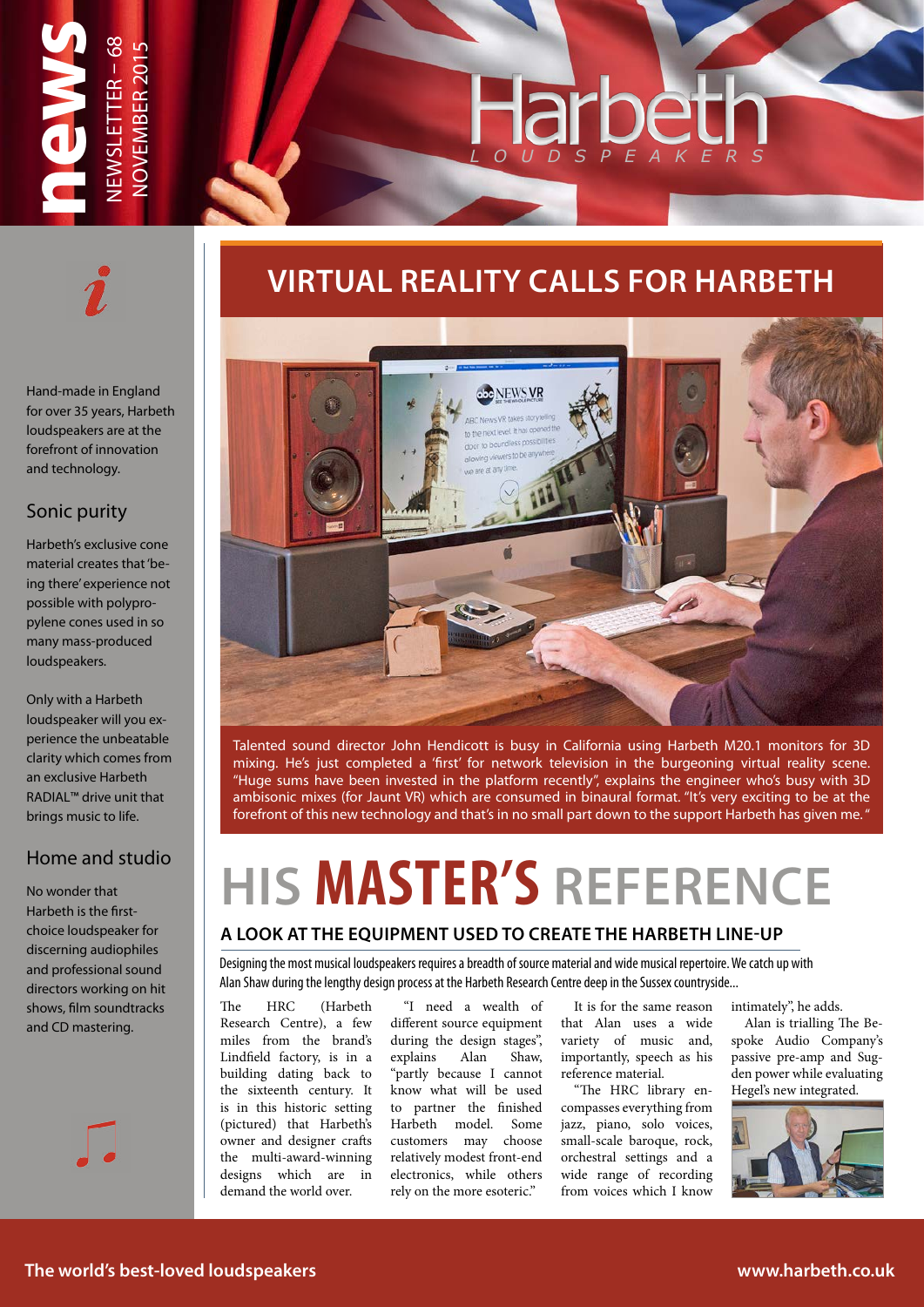

Hand-made in England for over 35 years, Harbeth loudspeakers are at the forefront of innovation and technology.

### Sonic purity

Harbeth's exclusive cone material creates that 'being there' experience not possible with polypropylene cones used in so many mass-produced loudspeakers.

Only with a Harbeth loudspeaker will you experience the unbeatable clarity which comes from an exclusive Harbeth RADIAL™ drive unit that brings music to life.

### Home and studio

No wonder that Harbeth is the firstchoice loudspeaker for discerning audiophiles and professional sound directors working on hit shows, film soundtracks and CD mastering.

## **VIRTUAL REALITY CALLS FOR HARBETH**



Talented sound director John Hendicott is busy in California using Harbeth M20.1 monitors for 3D mixing. He's just completed a 'first' for network television in the burgeoning virtual reality scene. "Huge sums have been invested in the platform recently", explains the engineer who's busy with 3D ambisonic mixes (for Jaunt VR) which are consumed in binaural format. "It's very exciting to be at the forefront of this new technology and that's in no small part down to the support Harbeth has given me. "

# **HIS MASTER'S REFERENCE**

### **A LOOK AT THE EQUIPMENT USED TO CREATE THE HARBETH LINE-UP**

Designing the most musical loudspeakers requires a breadth of source material and wide musical repertoire. We catch up with Alan Shaw during the lengthy design process at the Harbeth Research Centre deep in the Sussex countryside...

The HRC (Harbeth Research Centre), a few miles from the brand's Lindfield factory, is in a building dating back to the sixteenth century. It is in this historic setting (pictured) that Harbeth's owner and designer crafts the multi-award-winning designs which are in demand the world over.

"I need a wealth of different source equipment during the design stages", explains Alan Shaw, "partly because I cannot know what will be used to partner the finished Harbeth model. Some customers may choose relatively modest front-end electronics, while others rely on the more esoteric."

It is for the same reason that Alan uses a wide variety of music and, importantly, speech as his reference material.

"The HRC library encompasses everything from jazz, piano, solo voices, small-scale baroque, rock, orchestral settings and a wide range of recording from voices which I know

intimately", he adds.

Alan is trialling The Bespoke Audio Company's passive pre-amp and Sugden power while evaluating Hegel's new integrated.

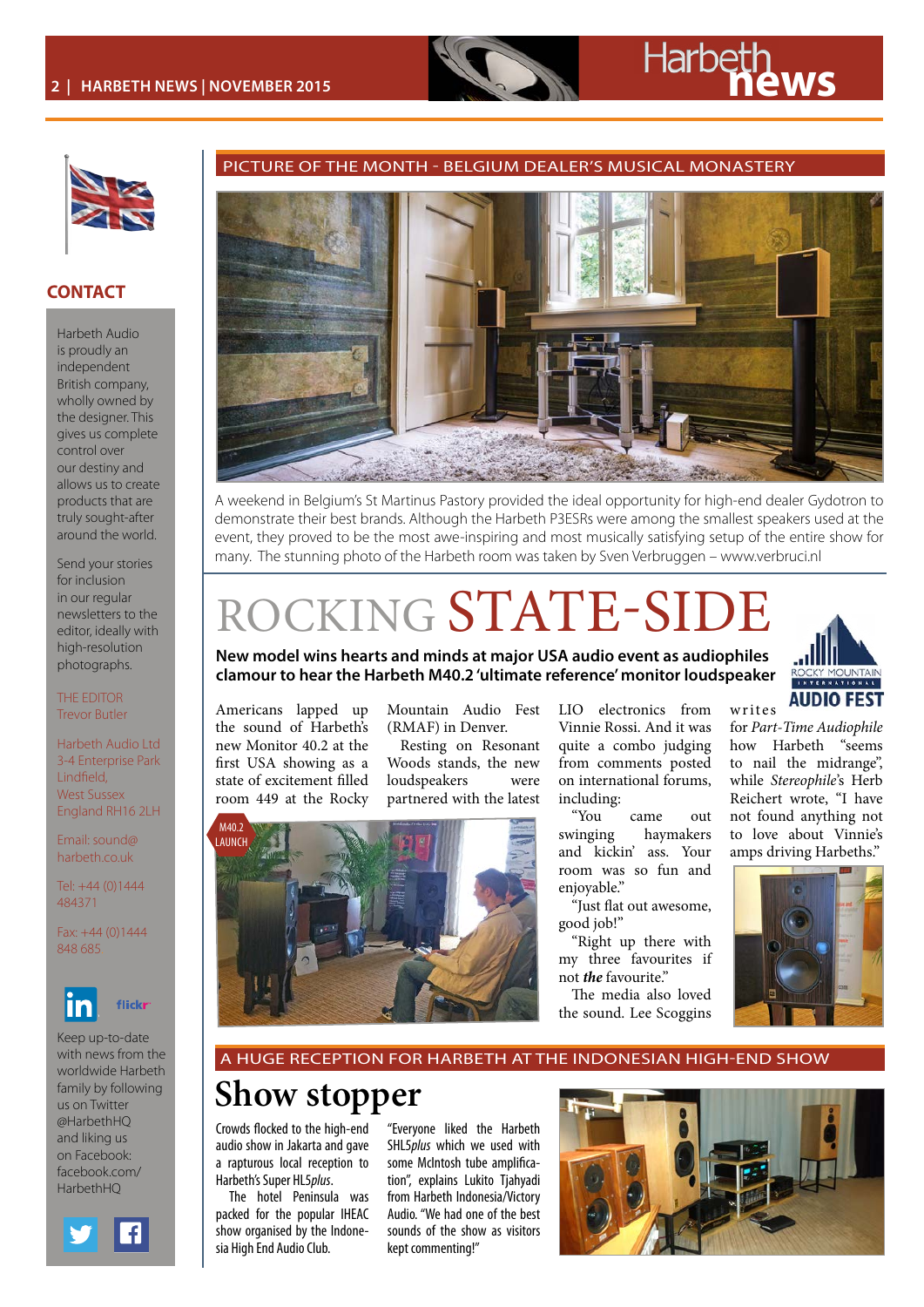# **2 | Harbeth NEWS | NOVEMBER 2015**



### **CONTACT**

Harbeth Audio is proudly an independent British company, wholly owned by the designer. This gives us complete control over our destiny and allows us to create products that are truly sought-after around the world.

Send your stories for inclusion in our regular newsletters to the editor, ideally with high-resolution photographs.

THE EDITOR Trevor Butler

Harbeth Audio Ltd 3-4 Enterprise Park Lindfield, West Sussex England RH16 2LH

Email: sound@ harbeth.co.uk

Tel: +44 (0)1444 484371

Fax: +44 (0)1444 848 685.



Keep up-to-date with news from the worldwide Harbeth family by following us on Twitter @HarbethHQ and liking us on Facebook: facebook.com/ HarhethHO



### PICTURE OF THE MONTH - BELGIUM DEALER'S MUSICAL MONASTERY



A weekend in Belgium's St Martinus Pastory provided the ideal opportunity for high-end dealer Gydotron to demonstrate their best brands. Although the Harbeth P3ESRs were among the smallest speakers used at the event, they proved to be the most awe-inspiring and most musically satisfying setup of the entire show for many. The stunning photo of the Harbeth room was taken by Sven Verbruggen – www.verbruci.nl

## ROCKING STATE-SIDE

**New model wins hearts and minds at major USA audio event as audiophiles clamour to hear the Harbeth M40.2 'ultimate reference' monitor loudspeaker**



for *[Part-Time Audiophile](http://parttimeaudiophile.com/2015/10/13/harbeth-and-vinnie-rossi-a-capacity-for-fine-midrange/)* how Harbeth "seems to nail the midrange", while *[Stereophile](http://www.stereophile.com/content/day-one-herb-reichert)*'s Herb Reichert wrote, "I have not found anything not to love about Vinnie's

w r ites

Americans lapped up the sound of Harbeth's new Monitor 40.2 at the first USA showing as a state of excitement filled room 449 at the Rocky

Mountain Audio Fest (RMAF) in Denver.

Resting on Resonant Woods stands, the new loudspeakers were partnered with the latest



LIO electronics from Vinnie Rossi. And it was quite a combo judging from comments posted on international forums, including:

came out swinging haymakers and kickin' ass. Your room was so fun and enjoyable."

"Just flat out awesome, good job!"

"Right up there with my three favourites if not *the* favourite."

The media also loved the sound. Lee Scoggins



A HUGE RECEPTION FOR HARBETH AT THE INDONESIAN HIGH-END SHOW

## **Show stopper**

Crowds flocked to the high-end audio show in Jakarta and gave a rapturous local reception to Harbeth's Super HL5*plus*.

The hotel Peninsula was packed for the popular IHEAC show organised by the Indonesia High End Audio Club.

"Everyone liked the Harbeth SHL5*plus* which we used with some McIntosh tube amplification", explains Lukito Tjahyadi from Harbeth Indonesia/Victory Audio. "We had one of the best sounds of the show as visitors kept commenting!"

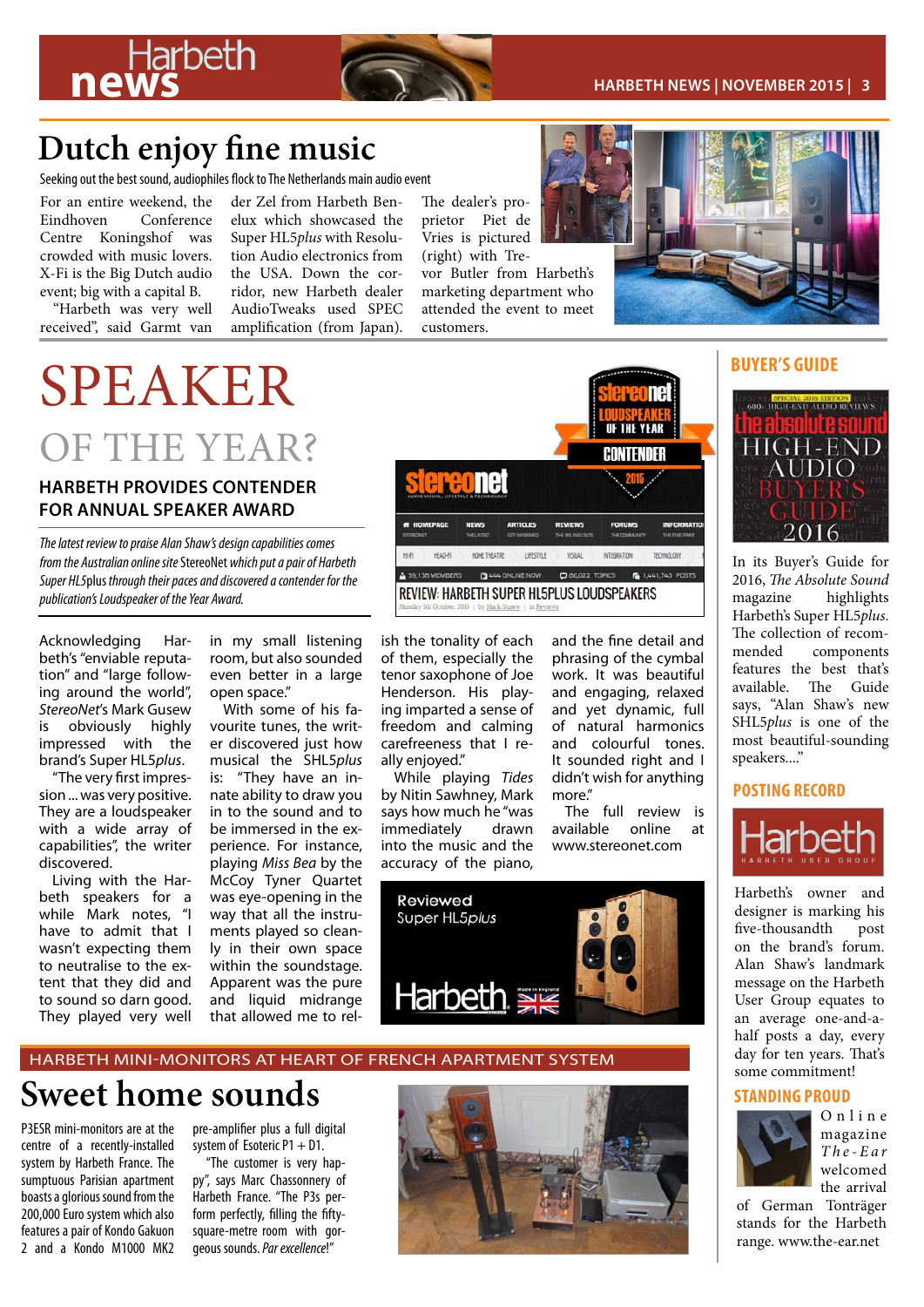

## **Dutch enjoy fine music**

Seeking out the best sound, audiophiles flock to The Netherlands main audio event

For an entire weekend, the<br>Eindhoven Conference Conference Centre Koningshof was crowded with music lovers. X-Fi is the Big Dutch audio event; big with a capital B.

"Harbeth was very well received", said Garmt van der Zel from Harbeth Benelux which showcased the Super HL5*plus* with Resolution Audio electronics from the USA. Down the corridor, new Harbeth dealer AudioTweaks used SPEC amplification (from Japan).

The dealer's proprietor Piet de Vries is pictured

(right) with Trevor Butler from Harbeth's marketing department who attended the event to meet customers.



OF THE YEAR?

### **HARBETH PROVIDES CONTENDER FOR ANNUAL SPEAKER AWARD**



Acknowledging Harbeth's "enviable reputation" and "large following around the world", *StereoNet*'s Mark Gusew is obviously highly impressed with the brand's Super HL5*plus*.

"The very first impression ... was very positive. They are a loudspeaker with a wide array of capabilities", the writer discovered.

Living with the Harbeth speakers for a while Mark notes, "I have to admit that I wasn't expecting them to neutralise to the extent that they did and to sound so darn good. They played very well

in my small listening room, but also sounded even better in a large open space."

With some of his favourite tunes, the writer discovered just how musical the SHL5*plus*  is: "They have an innate ability to draw you in to the sound and to be immersed in the experience. For instance, playing *Miss Bea* by the McCoy Tyner Quartet was eye-opening in the way that all the instruments played so cleanly in their own space within the soundstage. Apparent was the pure and liquid midrange that allowed me to rel-



ish the tonality of each of them, especially the tenor saxophone of Joe Henderson. His playing imparted a sense of freedom and calming carefreeness that I really enjoyed."

While playing *Tides*  by Nitin Sawhney, Mark says how much he "was immediately drawn into the music and the accuracy of the piano,

and the fine detail and phrasing of the cymbal work. It was beautiful and engaging, relaxed and yet dynamic, full of natural harmonics and colourful tones. It sounded right and I didn't wish for anything more"

The full review is available online at [www.stereonet.com](http://www.stereo.net.au/reviews/review-harbeth-super-hl5plus-loudspeakers/P1)



### HARBETH MINI-MONITORS AT HEART OF FRENCH APARTMENT SYSTEM

## **Sweet home sounds**

P3ESR mini-monitors are at the centre of a recently-installed system by Harbeth France. The sumptuous Parisian apartment boasts a glorious sound from the 200,000 Euro system which also features a pair of Kondo Gakuon 2 and a Kondo M1000 MK2

pre-amplifier plus a full digital system of Esoteric  $P1 + D1$ .

"The customer is very happy", says Marc Chassonnery of Harbeth France. "The P3s perform perfectly, filling the fiftysquare-metre room with gorgeous sounds. *Par excellence*!"





In its Buyer's Guide for 2016, *The Absolute Sound* highlights Harbeth's Super HL5*plus*. The collection of recom-<br>mended components components features the best that's available. The Guide says, "Alan Shaw's new SHL5*plus* is one of the most beautiful-sounding speakers...."

### **POSTING RECORD**



Harbeth's owner and designer is marking his five-thousandth post on the brand's forum. Alan Shaw's landmark message on the [Harbeth](http://http://www.harbeth.co.uk/usergroup/forum.php) [User Group](http://http://www.harbeth.co.uk/usergroup/forum.php) equates to an average one-and-ahalf posts a day, every day for ten years. That's some commitment!

### **STANDING PROUD**



O n l i n e magazine *T h e - E a r*  welcomed the arrival

of German Tonträger stands for the Harbeth range. [www.the-ear.net](http://www.the-ear.net/review-hardware/tontr%C3%A4ger-audio-reference-p3-stands-speaker-stands)